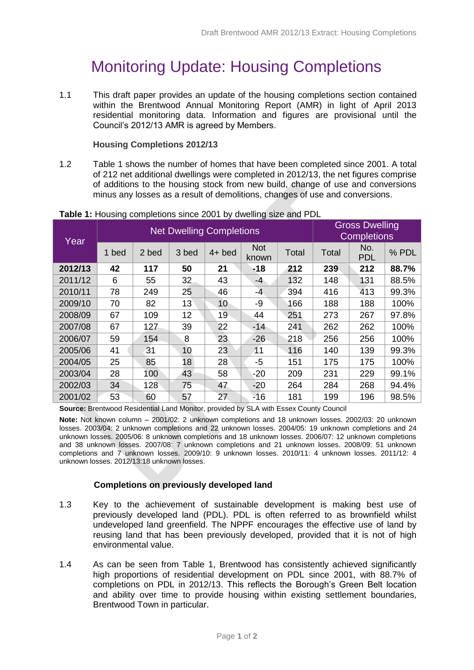# Monitoring Update: Housing Completions

1.1 This draft paper provides an update of the housing completions section contained within the Brentwood Annual Monitoring Report (AMR) in light of April 2013 residential monitoring data. Information and figures are provisional until the Council's 2012/13 AMR is agreed by Members.

## **Housing Completions 2012/13**

1.2 Table 1 shows the number of homes that have been completed since 2001. A total of 212 net additional dwellings were completed in 2012/13, the net figures comprise of additions to the housing stock from new build, change of use and conversions minus any losses as a result of demolitions, changes of use and conversions.

| Year    | <b>Net Dwelling Completions</b> |       |       |          |                     |              | <b>Gross Dwelling</b><br><b>Completions</b> |                   |       |
|---------|---------------------------------|-------|-------|----------|---------------------|--------------|---------------------------------------------|-------------------|-------|
|         | 1 bed                           | 2 bed | 3 bed | $4+$ bed | <b>Not</b><br>known | <b>Total</b> | Total                                       | No.<br><b>PDL</b> | % PDL |
| 2012/13 | 42                              | 117   | 50    | 21       | $-18$               | 212          | 239                                         | 212               | 88.7% |
| 2011/12 | 6                               | 55    | 32    | 43       | $-4$                | 132          | 148                                         | 131               | 88.5% |
| 2010/11 | 78                              | 249   | 25    | 46       | $-4$                | 394          | 416                                         | 413               | 99.3% |
| 2009/10 | 70                              | 82    | 13    | 10       | -9                  | 166          | 188                                         | 188               | 100%  |
| 2008/09 | 67                              | 109   | 12    | 19       | 44                  | 251          | 273                                         | 267               | 97.8% |
| 2007/08 | 67                              | 127   | 39    | 22       | $-14$               | 241          | 262                                         | 262               | 100%  |
| 2006/07 | 59                              | 154   | 8     | 23       | $-26$               | 218          | 256                                         | 256               | 100%  |
| 2005/06 | 41                              | 31    | 10    | 23       | 11                  | 116          | 140                                         | 139               | 99.3% |
| 2004/05 | 25                              | 85    | 18    | 28       | $-5$                | 151          | 175                                         | 175               | 100%  |
| 2003/04 | 28                              | 100   | 43    | 58       | $-20$               | 209          | 231                                         | 229               | 99.1% |
| 2002/03 | 34                              | 128   | 75    | 47       | $-20$               | 264          | 284                                         | 268               | 94.4% |
| 2001/02 | 53                              | 60    | 57    | 27       | $-16$               | 181          | 199                                         | 196               | 98.5% |

#### **Table 1:** Housing completions since 2001 by dwelling size and PDL

**Source:** Brentwood Residential Land Monitor, provided by SLA with Essex County Council

**Note:** Not known column – 2001/02: 2 unknown completions and 18 unknown losses. 2002/03: 20 unknown losses. 2003/04: 2 unknown completions and 22 unknown losses. 2004/05: 19 unknown completions and 24 unknown losses. 2005/06: 8 unknown completions and 18 unknown losses. 2006/07: 12 unknown completions and 38 unknown losses. 2007/08: 7 unknown completions and 21 unknown losses. 2008/09: 51 unknown completions and 7 unknown losses. 2009/10: 9 unknown losses. 2010/11: 4 unknown losses. 2011/12: 4 unknown losses. 2012/13:18 unknown losses.

#### **Completions on previously developed land**

- 1.3 Key to the achievement of sustainable development is making best use of previously developed land (PDL). PDL is often referred to as brownfield whilst undeveloped land greenfield. The NPPF encourages the effective use of land by reusing land that has been previously developed, provided that it is not of high environmental value.
- 1.4 As can be seen from Table 1, Brentwood has consistently achieved significantly high proportions of residential development on PDL since 2001, with 88.7% of completions on PDL in 2012/13. This reflects the Borough's Green Belt location and ability over time to provide housing within existing settlement boundaries, Brentwood Town in particular.